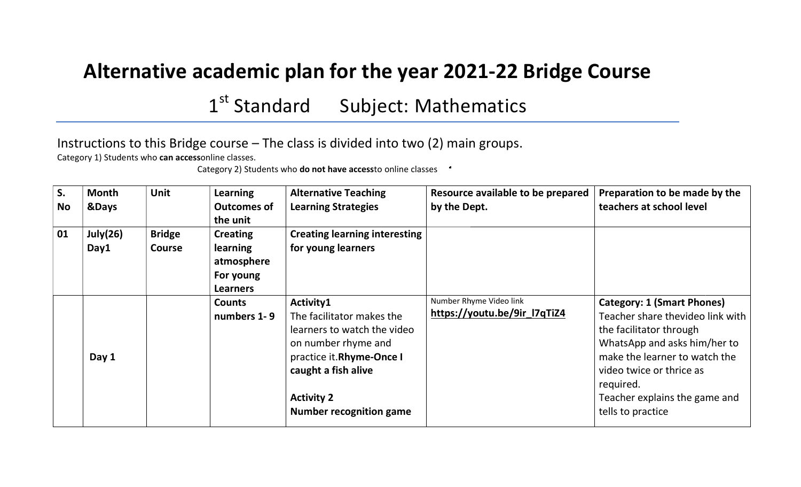## Alternative academic plan for the year 2021-22 Bridge Course

1<sup>st</sup> Standard Subject: Mathematics

Instructions to this Bridge course – The class is divided into two (2) main groups.

Category 1) Students who can accessonline classes.

Category 2) Students who **do not have access**to online classes

| S.<br><b>No</b> | <b>Month</b><br>&Days | <b>Unit</b>                    | Learning<br><b>Outcomes of</b><br>the unit                                       | <b>Alternative Teaching</b><br><b>Learning Strategies</b>                                                                                                                                              | Resource available to be prepared<br>by the Dept.       | Preparation to be made by the<br>teachers at school level                                                                                                                                                                                                        |
|-----------------|-----------------------|--------------------------------|----------------------------------------------------------------------------------|--------------------------------------------------------------------------------------------------------------------------------------------------------------------------------------------------------|---------------------------------------------------------|------------------------------------------------------------------------------------------------------------------------------------------------------------------------------------------------------------------------------------------------------------------|
| 01              | July $(26)$<br>Day1   | <b>Bridge</b><br><b>Course</b> | <b>Creating</b><br><b>learning</b><br>atmosphere<br>For young<br><b>Learners</b> | <b>Creating learning interesting</b><br>for young learners                                                                                                                                             |                                                         |                                                                                                                                                                                                                                                                  |
|                 | Day 1                 |                                | <b>Counts</b><br>numbers 1-9                                                     | Activity1<br>The facilitator makes the<br>learners to watch the video<br>on number rhyme and<br>practice it.Rhyme-Once I<br>caught a fish alive<br><b>Activity 2</b><br><b>Number recognition game</b> | Number Rhyme Video link<br>https://youtu.be/9ir_l7qTiZ4 | <b>Category: 1 (Smart Phones)</b><br>Teacher share thevideo link with<br>the facilitator through<br>WhatsApp and asks him/her to<br>make the learner to watch the<br>video twice or thrice as<br>required.<br>Teacher explains the game and<br>tells to practice |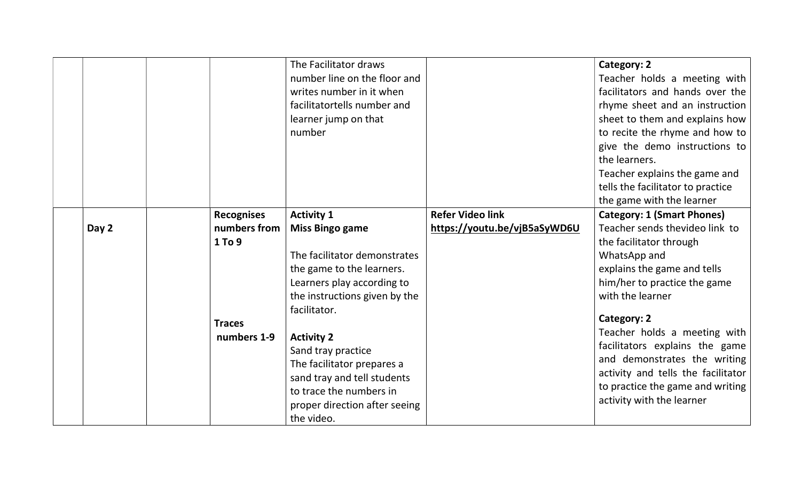|       |                   | The Facilitator draws         |                              | Category: 2                        |
|-------|-------------------|-------------------------------|------------------------------|------------------------------------|
|       |                   | number line on the floor and  |                              | Teacher holds a meeting with       |
|       |                   | writes number in it when      |                              | facilitators and hands over the    |
|       |                   | facilitatortells number and   |                              | rhyme sheet and an instruction     |
|       |                   | learner jump on that          |                              | sheet to them and explains how     |
|       |                   | number                        |                              | to recite the rhyme and how to     |
|       |                   |                               |                              | give the demo instructions to      |
|       |                   |                               |                              | the learners.                      |
|       |                   |                               |                              | Teacher explains the game and      |
|       |                   |                               |                              | tells the facilitator to practice  |
|       |                   |                               |                              | the game with the learner          |
|       | <b>Recognises</b> | <b>Activity 1</b>             | <b>Refer Video link</b>      | <b>Category: 1 (Smart Phones)</b>  |
| Day 2 | numbers from      | <b>Miss Bingo game</b>        | https://youtu.be/vjB5aSyWD6U | Teacher sends thevideo link to     |
|       | 1 To 9            |                               |                              | the facilitator through            |
|       |                   | The facilitator demonstrates  |                              | WhatsApp and                       |
|       |                   | the game to the learners.     |                              | explains the game and tells        |
|       |                   | Learners play according to    |                              | him/her to practice the game       |
|       |                   | the instructions given by the |                              | with the learner                   |
|       |                   | facilitator.                  |                              |                                    |
|       | <b>Traces</b>     |                               |                              | Category: 2                        |
|       | numbers 1-9       | <b>Activity 2</b>             |                              | Teacher holds a meeting with       |
|       |                   | Sand tray practice            |                              | facilitators explains the game     |
|       |                   | The facilitator prepares a    |                              | and demonstrates the writing       |
|       |                   | sand tray and tell students   |                              | activity and tells the facilitator |
|       |                   | to trace the numbers in       |                              | to practice the game and writing   |
|       |                   | proper direction after seeing |                              | activity with the learner          |
|       |                   | the video.                    |                              |                                    |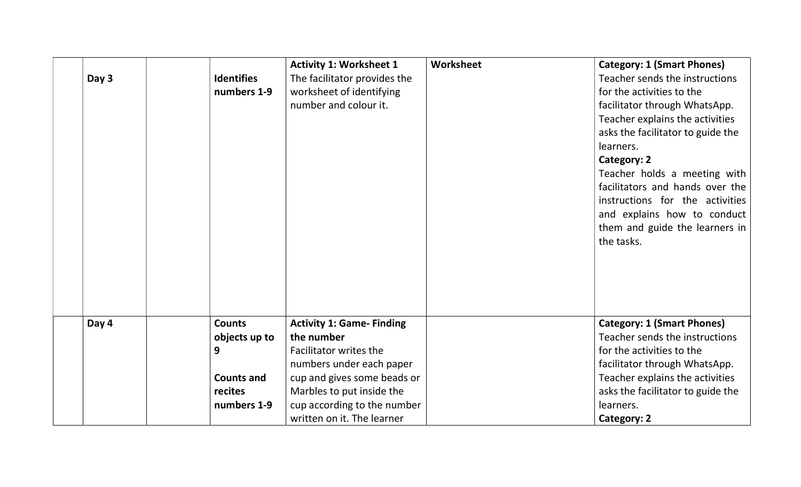|       |                   | <b>Activity 1: Worksheet 1</b>   | Worksheet | <b>Category: 1 (Smart Phones)</b> |
|-------|-------------------|----------------------------------|-----------|-----------------------------------|
| Day 3 | <b>Identifies</b> | The facilitator provides the     |           | Teacher sends the instructions    |
|       | numbers 1-9       | worksheet of identifying         |           | for the activities to the         |
|       |                   | number and colour it.            |           | facilitator through WhatsApp.     |
|       |                   |                                  |           | Teacher explains the activities   |
|       |                   |                                  |           | asks the facilitator to guide the |
|       |                   |                                  |           | learners.                         |
|       |                   |                                  |           | Category: 2                       |
|       |                   |                                  |           | Teacher holds a meeting with      |
|       |                   |                                  |           | facilitators and hands over the   |
|       |                   |                                  |           | instructions for the activities   |
|       |                   |                                  |           | and explains how to conduct       |
|       |                   |                                  |           | them and guide the learners in    |
|       |                   |                                  |           | the tasks.                        |
|       |                   |                                  |           |                                   |
|       |                   |                                  |           |                                   |
|       |                   |                                  |           |                                   |
|       |                   |                                  |           |                                   |
|       |                   |                                  |           |                                   |
| Day 4 | <b>Counts</b>     | <b>Activity 1: Game- Finding</b> |           | <b>Category: 1 (Smart Phones)</b> |
|       | objects up to     | the number                       |           | Teacher sends the instructions    |
|       | 9                 | Facilitator writes the           |           | for the activities to the         |
|       |                   | numbers under each paper         |           | facilitator through WhatsApp.     |
|       | <b>Counts and</b> | cup and gives some beads or      |           | Teacher explains the activities   |
|       | recites           | Marbles to put inside the        |           | asks the facilitator to guide the |
|       | numbers 1-9       | cup according to the number      |           | learners.                         |
|       |                   | written on it. The learner       |           | Category: 2                       |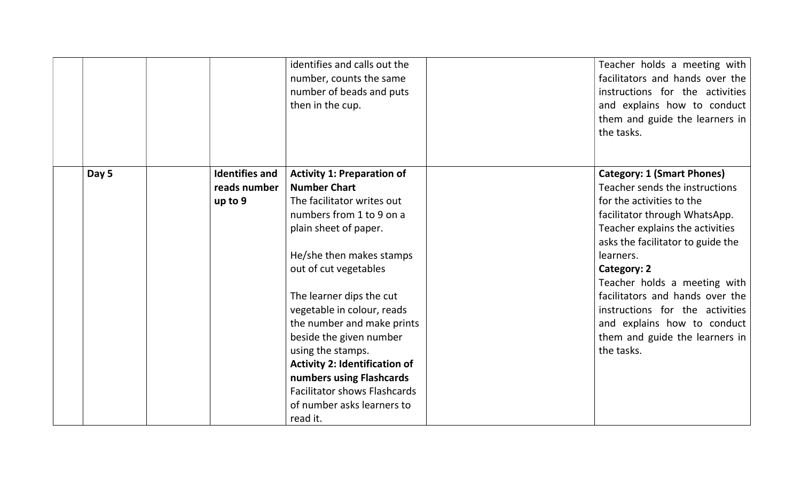|       |                                                  | identifies and calls out the<br>number, counts the same<br>number of beads and puts<br>then in the cup.                                                                                                                                                                                                                                                                                                                                                                                       | Teacher holds a meeting with<br>facilitators and hands over the<br>instructions for the activities<br>and explains how to conduct<br>them and guide the learners in<br>the tasks.                                                                                                                                                                                                                                          |
|-------|--------------------------------------------------|-----------------------------------------------------------------------------------------------------------------------------------------------------------------------------------------------------------------------------------------------------------------------------------------------------------------------------------------------------------------------------------------------------------------------------------------------------------------------------------------------|----------------------------------------------------------------------------------------------------------------------------------------------------------------------------------------------------------------------------------------------------------------------------------------------------------------------------------------------------------------------------------------------------------------------------|
| Day 5 | <b>Identifies and</b><br>reads number<br>up to 9 | <b>Activity 1: Preparation of</b><br><b>Number Chart</b><br>The facilitator writes out<br>numbers from 1 to 9 on a<br>plain sheet of paper.<br>He/she then makes stamps<br>out of cut vegetables<br>The learner dips the cut<br>vegetable in colour, reads<br>the number and make prints<br>beside the given number<br>using the stamps.<br><b>Activity 2: Identification of</b><br>numbers using Flashcards<br><b>Facilitator shows Flashcards</b><br>of number asks learners to<br>read it. | <b>Category: 1 (Smart Phones)</b><br>Teacher sends the instructions<br>for the activities to the<br>facilitator through WhatsApp.<br>Teacher explains the activities<br>asks the facilitator to guide the<br>learners.<br>Category: 2<br>Teacher holds a meeting with<br>facilitators and hands over the<br>instructions for the activities<br>and explains how to conduct<br>them and guide the learners in<br>the tasks. |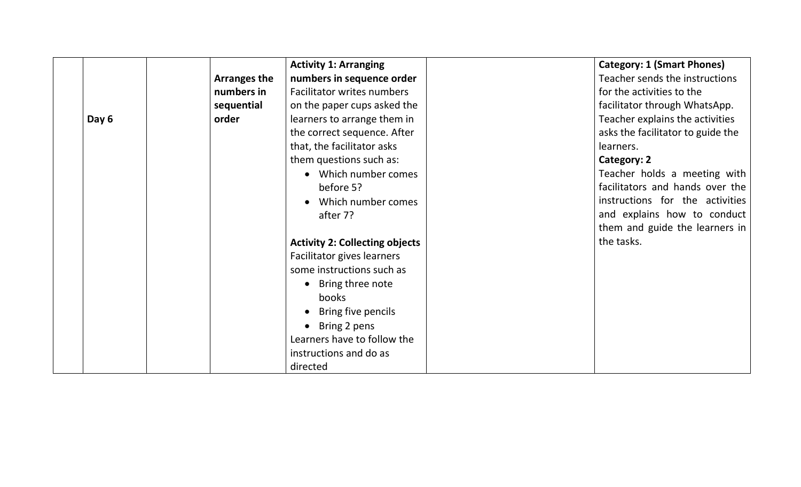|       |                     | <b>Activity 1: Arranging</b>          | <b>Category: 1 (Smart Phones)</b> |
|-------|---------------------|---------------------------------------|-----------------------------------|
|       | <b>Arranges the</b> | numbers in sequence order             | Teacher sends the instructions    |
|       | numbers in          | <b>Facilitator writes numbers</b>     | for the activities to the         |
|       | sequential          | on the paper cups asked the           | facilitator through WhatsApp.     |
| Day 6 | order               | learners to arrange them in           | Teacher explains the activities   |
|       |                     | the correct sequence. After           | asks the facilitator to guide the |
|       |                     | that, the facilitator asks            | learners.                         |
|       |                     | them questions such as:               | Category: 2                       |
|       |                     | • Which number comes                  | Teacher holds a meeting with      |
|       |                     | before 5?                             | facilitators and hands over the   |
|       |                     | Which number comes                    | instructions for the activities   |
|       |                     | after 7?                              | and explains how to conduct       |
|       |                     |                                       | them and guide the learners in    |
|       |                     | <b>Activity 2: Collecting objects</b> | the tasks.                        |
|       |                     | Facilitator gives learners            |                                   |
|       |                     | some instructions such as             |                                   |
|       |                     | • Bring three note                    |                                   |
|       |                     | books                                 |                                   |
|       |                     | Bring five pencils                    |                                   |
|       |                     | Bring 2 pens                          |                                   |
|       |                     | Learners have to follow the           |                                   |
|       |                     | instructions and do as                |                                   |
|       |                     | directed                              |                                   |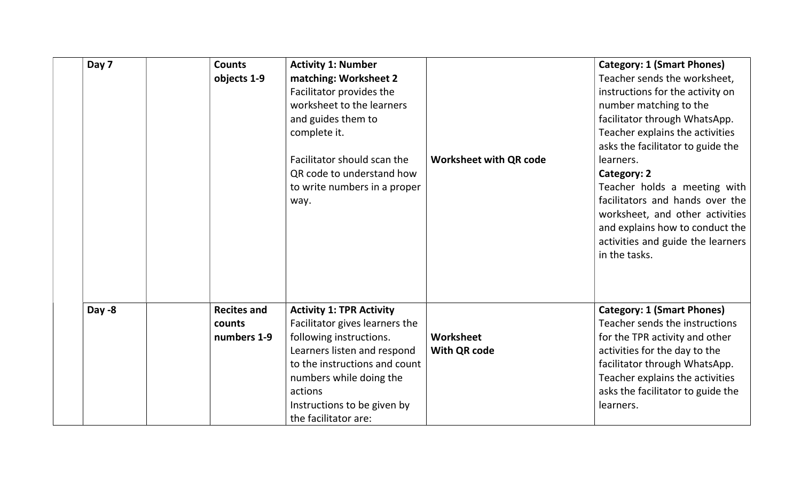| Day 7  | <b>Counts</b><br>objects 1-9 | <b>Activity 1: Number</b><br>matching: Worksheet 2<br>Facilitator provides the<br>worksheet to the learners |                               | <b>Category: 1 (Smart Phones)</b><br>Teacher sends the worksheet,<br>instructions for the activity on<br>number matching to the                                                             |
|--------|------------------------------|-------------------------------------------------------------------------------------------------------------|-------------------------------|---------------------------------------------------------------------------------------------------------------------------------------------------------------------------------------------|
|        |                              | and guides them to<br>complete it.                                                                          |                               | facilitator through WhatsApp.<br>Teacher explains the activities                                                                                                                            |
|        |                              |                                                                                                             |                               | asks the facilitator to guide the                                                                                                                                                           |
|        |                              | Facilitator should scan the                                                                                 | <b>Worksheet with QR code</b> | learners.                                                                                                                                                                                   |
|        |                              | QR code to understand how                                                                                   |                               | <b>Category: 2</b>                                                                                                                                                                          |
|        |                              | to write numbers in a proper<br>way.                                                                        |                               | Teacher holds a meeting with<br>facilitators and hands over the<br>worksheet, and other activities<br>and explains how to conduct the<br>activities and guide the learners<br>in the tasks. |
| Day -8 | <b>Recites and</b>           | <b>Activity 1: TPR Activity</b>                                                                             |                               | <b>Category: 1 (Smart Phones)</b>                                                                                                                                                           |
|        | counts                       | Facilitator gives learners the                                                                              |                               | Teacher sends the instructions                                                                                                                                                              |
|        | numbers 1-9                  | following instructions.                                                                                     | Worksheet                     | for the TPR activity and other                                                                                                                                                              |
|        |                              | Learners listen and respond                                                                                 | <b>With QR code</b>           | activities for the day to the                                                                                                                                                               |
|        |                              | to the instructions and count                                                                               |                               | facilitator through WhatsApp.                                                                                                                                                               |
|        |                              | numbers while doing the                                                                                     |                               | Teacher explains the activities                                                                                                                                                             |
|        |                              | actions                                                                                                     |                               | asks the facilitator to guide the                                                                                                                                                           |
|        |                              | Instructions to be given by<br>the facilitator are:                                                         |                               | learners.                                                                                                                                                                                   |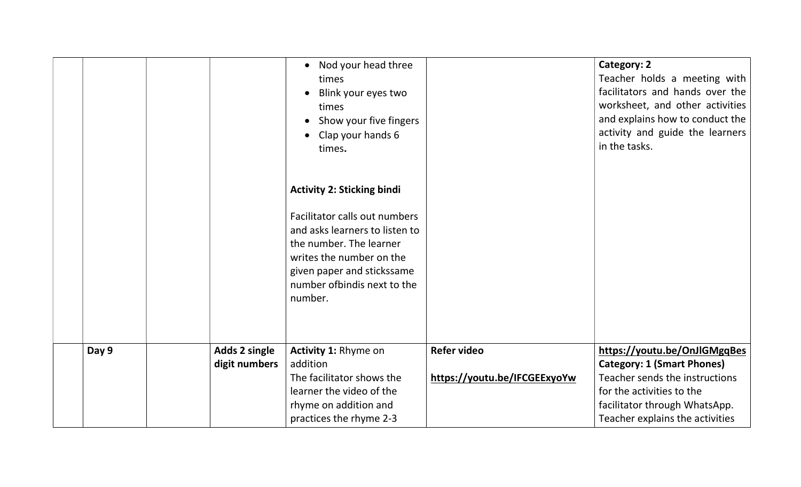|       |                                       | Nod your head three<br>$\bullet$<br>times<br>Blink your eyes two<br>$\bullet$<br>times<br>Show your five fingers<br>Clap your hands 6<br>times.<br><b>Activity 2: Sticking bindi</b><br>Facilitator calls out numbers<br>and asks learners to listen to<br>the number. The learner<br>writes the number on the<br>given paper and stickssame<br>number of bind is next to the |                              | Category: 2<br>Teacher holds a meeting with<br>facilitators and hands over the<br>worksheet, and other activities<br>and explains how to conduct the<br>activity and guide the learners<br>in the tasks. |
|-------|---------------------------------------|-------------------------------------------------------------------------------------------------------------------------------------------------------------------------------------------------------------------------------------------------------------------------------------------------------------------------------------------------------------------------------|------------------------------|----------------------------------------------------------------------------------------------------------------------------------------------------------------------------------------------------------|
| Day 9 |                                       | number.<br>Activity 1: Rhyme on                                                                                                                                                                                                                                                                                                                                               | <b>Refer video</b>           | https://youtu.be/OnJIGMgqBes                                                                                                                                                                             |
|       | <b>Adds 2 single</b><br>digit numbers | addition                                                                                                                                                                                                                                                                                                                                                                      |                              | <b>Category: 1 (Smart Phones)</b>                                                                                                                                                                        |
|       |                                       | The facilitator shows the                                                                                                                                                                                                                                                                                                                                                     | https://youtu.be/IFCGEExyoYw | Teacher sends the instructions                                                                                                                                                                           |
|       |                                       | learner the video of the                                                                                                                                                                                                                                                                                                                                                      |                              | for the activities to the                                                                                                                                                                                |
|       |                                       | rhyme on addition and                                                                                                                                                                                                                                                                                                                                                         |                              | facilitator through WhatsApp.                                                                                                                                                                            |
|       |                                       | practices the rhyme 2-3                                                                                                                                                                                                                                                                                                                                                       |                              | Teacher explains the activities                                                                                                                                                                          |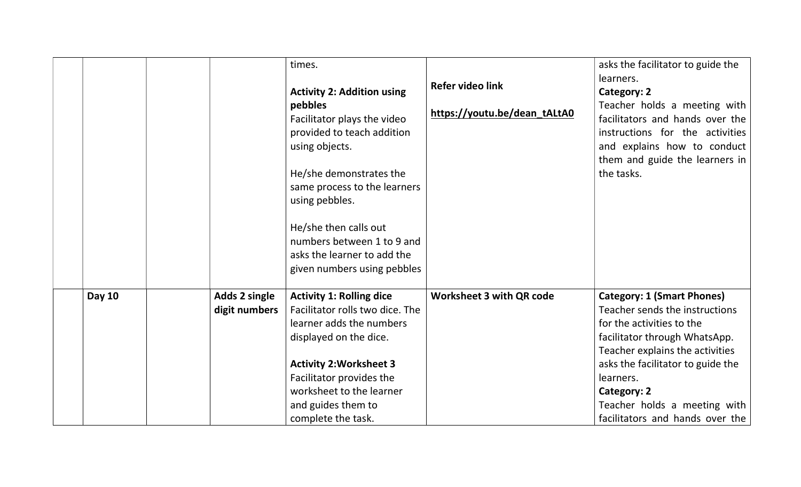|               |               | times.<br><b>Activity 2: Addition using</b><br>pebbles<br>Facilitator plays the video<br>provided to teach addition<br>using objects.<br>He/she demonstrates the<br>same process to the learners<br>using pebbles.<br>He/she then calls out<br>numbers between 1 to 9 and<br>asks the learner to add the<br>given numbers using pebbles | <b>Refer video link</b><br>https://youtu.be/dean_tALtA0 | asks the facilitator to guide the<br>learners.<br>Category: 2<br>Teacher holds a meeting with<br>facilitators and hands over the<br>instructions for the activities<br>and explains how to conduct<br>them and guide the learners in<br>the tasks. |
|---------------|---------------|-----------------------------------------------------------------------------------------------------------------------------------------------------------------------------------------------------------------------------------------------------------------------------------------------------------------------------------------|---------------------------------------------------------|----------------------------------------------------------------------------------------------------------------------------------------------------------------------------------------------------------------------------------------------------|
| <b>Day 10</b> | Adds 2 single | <b>Activity 1: Rolling dice</b>                                                                                                                                                                                                                                                                                                         | <b>Worksheet 3 with QR code</b>                         | <b>Category: 1 (Smart Phones)</b>                                                                                                                                                                                                                  |
|               | digit numbers | Facilitator rolls two dice. The<br>learner adds the numbers                                                                                                                                                                                                                                                                             |                                                         | Teacher sends the instructions<br>for the activities to the                                                                                                                                                                                        |
|               |               | displayed on the dice.                                                                                                                                                                                                                                                                                                                  |                                                         | facilitator through WhatsApp.                                                                                                                                                                                                                      |
|               |               |                                                                                                                                                                                                                                                                                                                                         |                                                         | Teacher explains the activities                                                                                                                                                                                                                    |
|               |               | <b>Activity 2: Worksheet 3</b>                                                                                                                                                                                                                                                                                                          |                                                         | asks the facilitator to guide the                                                                                                                                                                                                                  |
|               |               | Facilitator provides the                                                                                                                                                                                                                                                                                                                |                                                         | learners.                                                                                                                                                                                                                                          |
|               |               | worksheet to the learner                                                                                                                                                                                                                                                                                                                |                                                         | Category: 2                                                                                                                                                                                                                                        |
|               |               | and guides them to                                                                                                                                                                                                                                                                                                                      |                                                         | Teacher holds a meeting with                                                                                                                                                                                                                       |
|               |               | complete the task.                                                                                                                                                                                                                                                                                                                      |                                                         | facilitators and hands over the                                                                                                                                                                                                                    |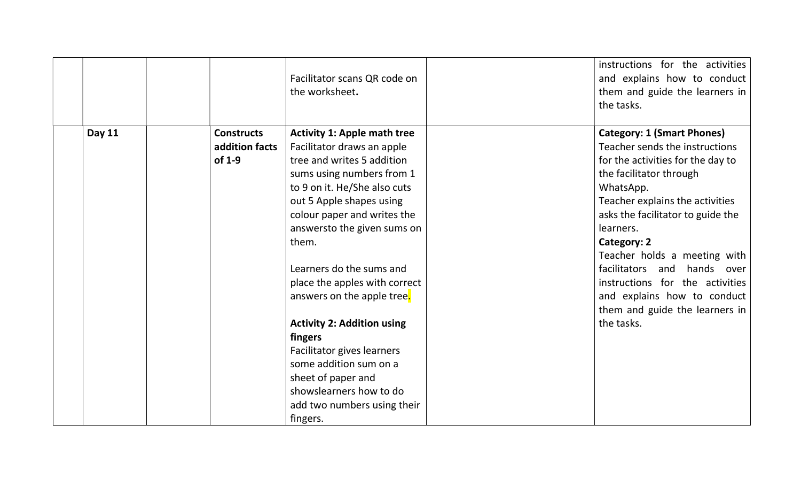|               |                   | Facilitator scans QR code on<br>the worksheet. | instructions for the activities<br>and explains how to conduct<br>them and guide the learners in<br>the tasks. |
|---------------|-------------------|------------------------------------------------|----------------------------------------------------------------------------------------------------------------|
| <b>Day 11</b> | <b>Constructs</b> | <b>Activity 1: Apple math tree</b>             | <b>Category: 1 (Smart Phones)</b>                                                                              |
|               | addition facts    | Facilitator draws an apple                     | Teacher sends the instructions                                                                                 |
|               | of 1-9            | tree and writes 5 addition                     | for the activities for the day to                                                                              |
|               |                   | sums using numbers from 1                      | the facilitator through                                                                                        |
|               |                   | to 9 on it. He/She also cuts                   | WhatsApp.                                                                                                      |
|               |                   | out 5 Apple shapes using                       | Teacher explains the activities                                                                                |
|               |                   | colour paper and writes the                    | asks the facilitator to guide the                                                                              |
|               |                   | answersto the given sums on                    | learners.                                                                                                      |
|               |                   | them.                                          | Category: 2                                                                                                    |
|               |                   |                                                | Teacher holds a meeting with                                                                                   |
|               |                   | Learners do the sums and                       | facilitators and hands over                                                                                    |
|               |                   | place the apples with correct                  | instructions for the activities                                                                                |
|               |                   | answers on the apple tree.                     | and explains how to conduct                                                                                    |
|               |                   |                                                | them and guide the learners in                                                                                 |
|               |                   | <b>Activity 2: Addition using</b>              | the tasks.                                                                                                     |
|               |                   | fingers                                        |                                                                                                                |
|               |                   | Facilitator gives learners                     |                                                                                                                |
|               |                   | some addition sum on a                         |                                                                                                                |
|               |                   | sheet of paper and                             |                                                                                                                |
|               |                   | showslearners how to do                        |                                                                                                                |
|               |                   | add two numbers using their                    |                                                                                                                |
|               |                   | fingers.                                       |                                                                                                                |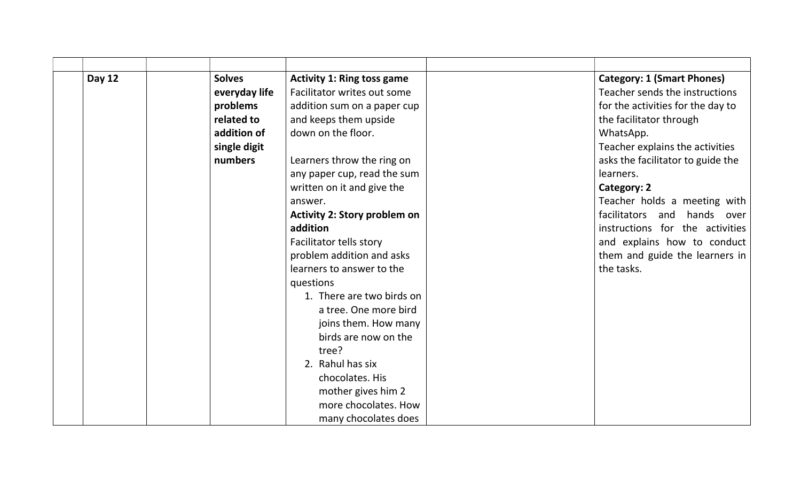| <b>Day 12</b> | <b>Solves</b> | <b>Activity 1: Ring toss game</b>   | <b>Category: 1 (Smart Phones)</b> |
|---------------|---------------|-------------------------------------|-----------------------------------|
|               | everyday life | Facilitator writes out some         | Teacher sends the instructions    |
|               | problems      | addition sum on a paper cup         | for the activities for the day to |
|               | related to    | and keeps them upside               | the facilitator through           |
|               | addition of   | down on the floor.                  | WhatsApp.                         |
|               | single digit  |                                     | Teacher explains the activities   |
|               | numbers       | Learners throw the ring on          | asks the facilitator to guide the |
|               |               | any paper cup, read the sum         | learners.                         |
|               |               | written on it and give the          | Category: 2                       |
|               |               | answer.                             | Teacher holds a meeting with      |
|               |               | <b>Activity 2: Story problem on</b> | facilitators and<br>hands over    |
|               |               | addition                            | instructions for the activities   |
|               |               | Facilitator tells story             | and explains how to conduct       |
|               |               | problem addition and asks           | them and guide the learners in    |
|               |               | learners to answer to the           | the tasks.                        |
|               |               | questions                           |                                   |
|               |               | 1. There are two birds on           |                                   |
|               |               | a tree. One more bird               |                                   |
|               |               | joins them. How many                |                                   |
|               |               | birds are now on the                |                                   |
|               |               | tree?                               |                                   |
|               |               | 2. Rahul has six                    |                                   |
|               |               | chocolates. His                     |                                   |
|               |               | mother gives him 2                  |                                   |
|               |               | more chocolates. How                |                                   |
|               |               | many chocolates does                |                                   |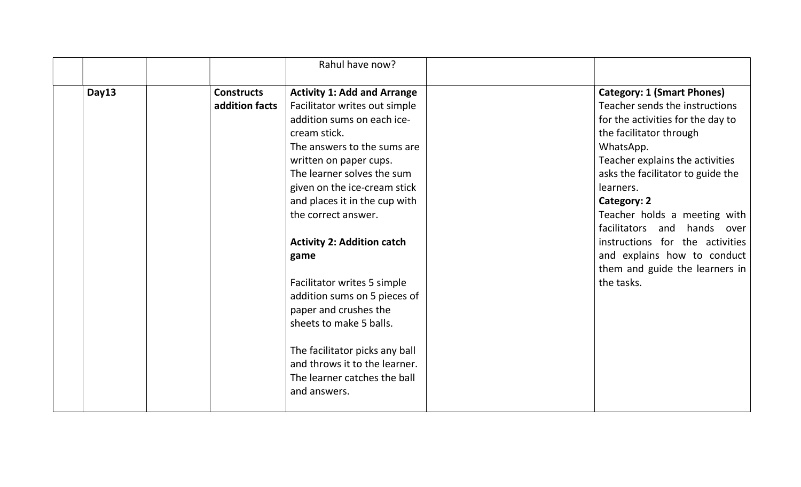|       |                   | Rahul have now?                    |                                   |
|-------|-------------------|------------------------------------|-----------------------------------|
| Day13 | <b>Constructs</b> | <b>Activity 1: Add and Arrange</b> | <b>Category: 1 (Smart Phones)</b> |
|       | addition facts    | Facilitator writes out simple      | Teacher sends the instructions    |
|       |                   | addition sums on each ice-         | for the activities for the day to |
|       |                   | cream stick.                       | the facilitator through           |
|       |                   | The answers to the sums are        | WhatsApp.                         |
|       |                   | written on paper cups.             | Teacher explains the activities   |
|       |                   | The learner solves the sum         | asks the facilitator to guide the |
|       |                   | given on the ice-cream stick       | learners.                         |
|       |                   | and places it in the cup with      | Category: 2                       |
|       |                   | the correct answer.                | Teacher holds a meeting with      |
|       |                   |                                    | facilitators<br>and hands over    |
|       |                   | <b>Activity 2: Addition catch</b>  | instructions for the activities   |
|       |                   | game                               | and explains how to conduct       |
|       |                   |                                    | them and guide the learners in    |
|       |                   | Facilitator writes 5 simple        | the tasks.                        |
|       |                   | addition sums on 5 pieces of       |                                   |
|       |                   | paper and crushes the              |                                   |
|       |                   | sheets to make 5 balls.            |                                   |
|       |                   | The facilitator picks any ball     |                                   |
|       |                   | and throws it to the learner.      |                                   |
|       |                   | The learner catches the ball       |                                   |
|       |                   |                                    |                                   |
|       |                   | and answers.                       |                                   |
|       |                   |                                    |                                   |